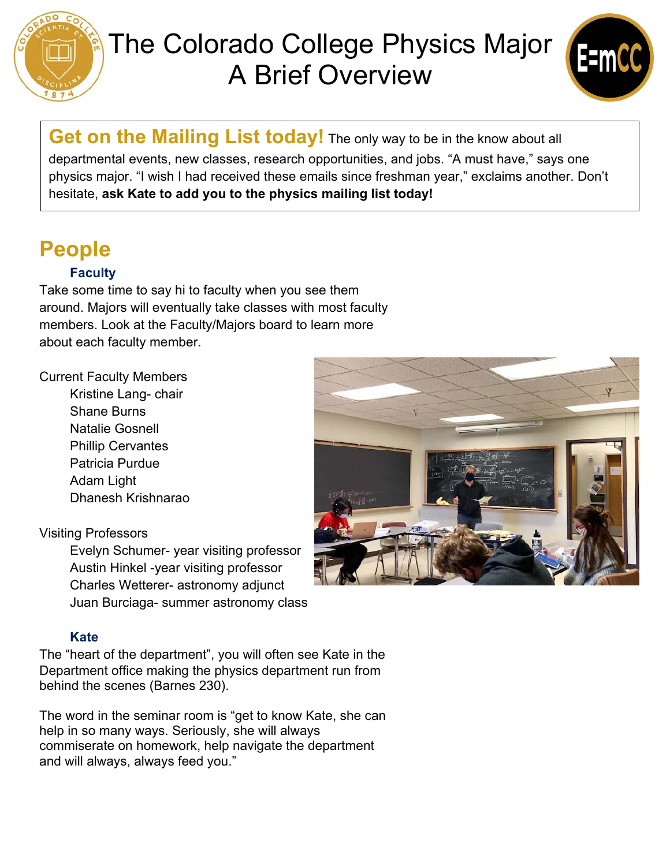

# The Colorado College Physics Major A Brief Overview



**Get on the Mailing List today!** The only way to be in the know about all departmental events, new classes, research opportunities, and jobs. "A must have," says one physics major. "I wish I had received these emails since freshman year," exclaims another. Don't hesitate, **ask Kate to add you to the physics mailing list today!** 

# **People**

#### **Faculty**

Take some time to say hi to faculty when you see them around. Majors will eventually take classes with most faculty members. Look at the Faculty/Majors board to learn more about each faculty member.

#### Current Faculty Members

Kristine Lang- chair Shane Burns Natalie Gosnell Phillip Cervantes Patricia Purdue Adam Light Dhanesh Krishnarao

#### Visiting Professors

Evelyn Schumer- year visiting professor Austin Hinkel -year visiting professor Charles Wetterer- astronomy adjunct Juan Burciaga- summer astronomy class



#### **Kate**

The "heart of the department", you will often see Kate in the Department office making the physics department run from behind the scenes (Barnes 230).

The word in the seminar room is "get to know Kate, she can help in so many ways. Seriously, she will always commiserate on homework, help navigate the department and will always, always feed you."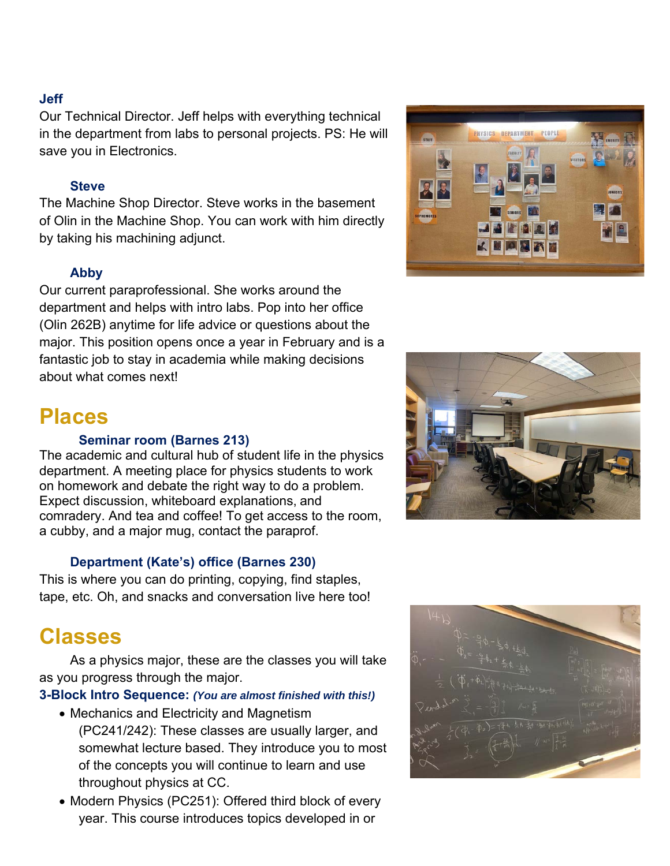#### **Jeff**

Our Technical Director. Jeff helps with everything technical in the department from labs to personal projects. PS: He will save you in Electronics.

#### **Steve**

The Machine Shop Director. Steve works in the basement of Olin in the Machine Shop. You can work with him directly by taking his machining adjunct.

#### **Abby**

Our current paraprofessional. She works around the department and helps with intro labs. Pop into her office (Olin 262B) anytime for life advice or questions about the major. This position opens once a year in February and is a fantastic job to stay in academia while making decisions about what comes next!

### **Places**

#### **Seminar room (Barnes 213)**

The academic and cultural hub of student life in the physics department. A meeting place for physics students to work on homework and debate the right way to do a problem. Expect discussion, whiteboard explanations, and comradery. And tea and coffee! To get access to the room, a cubby, and a major mug, contact the paraprof.

#### **Department (Kate's) office (Barnes 230)**

This is where you can do printing, copying, find staples, tape, etc. Oh, and snacks and conversation live here too!

### **Classes**

 As a physics major, these are the classes you will take as you progress through the major.

#### **3-Block Intro Sequence:** *(You are almost finished with this!)*

- Mechanics and Electricity and Magnetism (PC241/242): These classes are usually larger, and somewhat lecture based. They introduce you to most of the concepts you will continue to learn and use throughout physics at CC.
- Modern Physics (PC251): Offered third block of every year. This course introduces topics developed in or





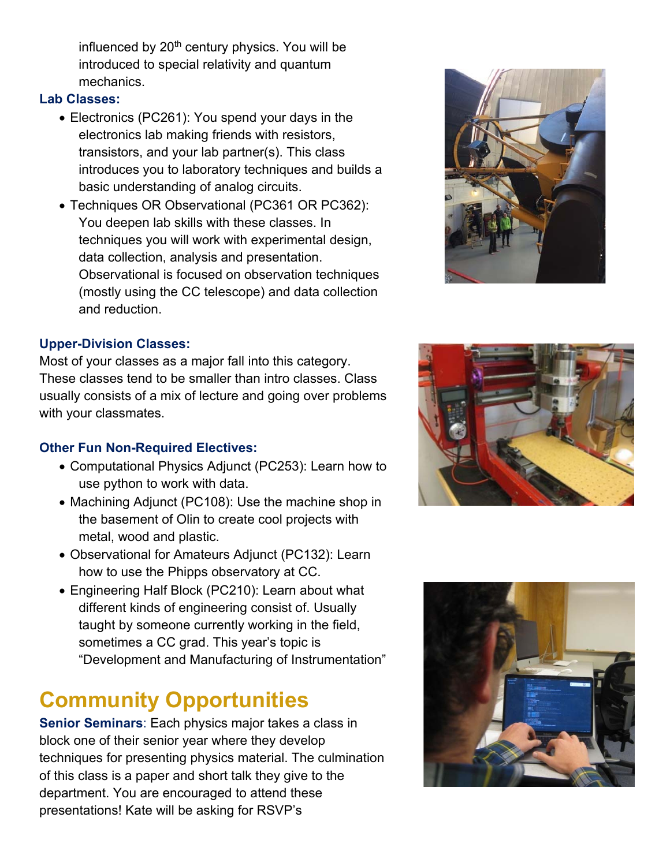influenced by 20<sup>th</sup> century physics. You will be introduced to special relativity and quantum mechanics.

#### **Lab Classes:**

- Electronics (PC261): You spend your days in the electronics lab making friends with resistors, transistors, and your lab partner(s). This class introduces you to laboratory techniques and builds a basic understanding of analog circuits.
- Techniques OR Observational (PC361 OR PC362): You deepen lab skills with these classes. In techniques you will work with experimental design, data collection, analysis and presentation. Observational is focused on observation techniques (mostly using the CC telescope) and data collection and reduction.

#### **Upper-Division Classes:**

Most of your classes as a major fall into this category. These classes tend to be smaller than intro classes. Class usually consists of a mix of lecture and going over problems with your classmates.

#### **Other Fun Non-Required Electives:**

- Computational Physics Adjunct (PC253): Learn how to use python to work with data.
- Machining Adjunct (PC108): Use the machine shop in the basement of Olin to create cool projects with metal, wood and plastic.
- Observational for Amateurs Adjunct (PC132): Learn how to use the Phipps observatory at CC.
- Engineering Half Block (PC210): Learn about what different kinds of engineering consist of. Usually taught by someone currently working in the field, sometimes a CC grad. This year's topic is "Development and Manufacturing of Instrumentation"

# **Community Opportunities**

**Senior Seminars**: Each physics major takes a class in block one of their senior year where they develop techniques for presenting physics material. The culmination of this class is a paper and short talk they give to the department. You are encouraged to attend these presentations! Kate will be asking for RSVP's





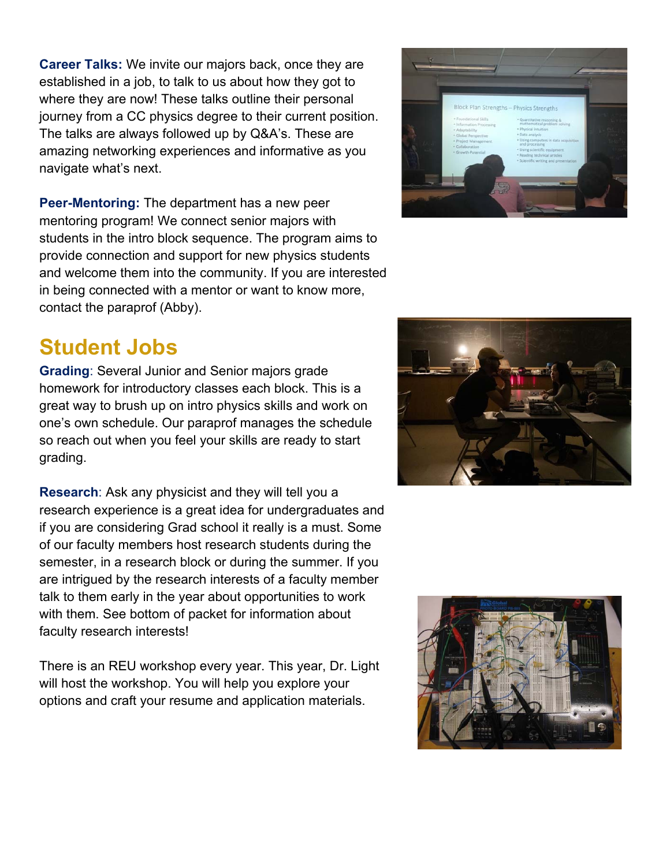**Career Talks:** We invite our majors back, once they are established in a job, to talk to us about how they got to where they are now! These talks outline their personal journey from a CC physics degree to their current position. The talks are always followed up by Q&A's. These are amazing networking experiences and informative as you navigate what's next.

**Peer-Mentoring:** The department has a new peer mentoring program! We connect senior majors with students in the intro block sequence. The program aims to provide connection and support for new physics students and welcome them into the community. If you are interested in being connected with a mentor or want to know more, contact the paraprof (Abby).

### **Student Jobs**

**Grading**: Several Junior and Senior majors grade homework for introductory classes each block. This is a great way to brush up on intro physics skills and work on one's own schedule. Our paraprof manages the schedule so reach out when you feel your skills are ready to start grading.

**Research**: Ask any physicist and they will tell you a research experience is a great idea for undergraduates and if you are considering Grad school it really is a must. Some of our faculty members host research students during the semester, in a research block or during the summer. If you are intrigued by the research interests of a faculty member talk to them early in the year about opportunities to work with them. See bottom of packet for information about faculty research interests!

There is an REU workshop every year. This year, Dr. Light will host the workshop. You will help you explore your options and craft your resume and application materials.



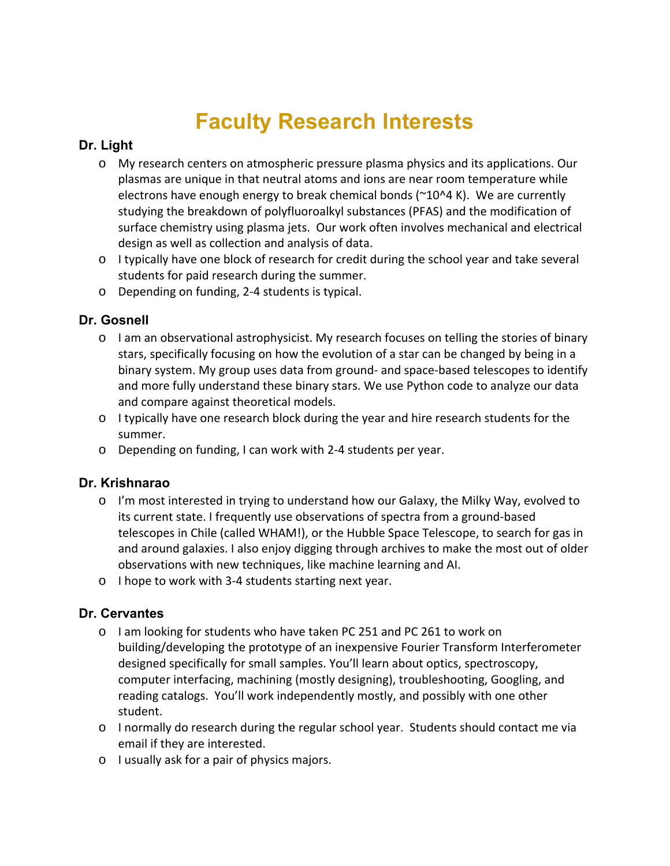# **Faculty Research Interests**

#### **Dr. Light**

- o My research centers on atmospheric pressure plasma physics and its applications. Our plasmas are unique in that neutral atoms and ions are near room temperature while electrons have enough energy to break chemical bonds ( $\gamma$ 10^4 K). We are currently studying the breakdown of polyfluoroalkyl substances (PFAS) and the modification of surface chemistry using plasma jets. Our work often involves mechanical and electrical design as well as collection and analysis of data.
- o I typically have one block of research for credit during the school year and take several students for paid research during the summer.
- o Depending on funding, 2‐4 students is typical.

#### **Dr. Gosnell**

- o I am an observational astrophysicist. My research focuses on telling the stories of binary stars, specifically focusing on how the evolution of a star can be changed by being in a binary system. My group uses data from ground‐ and space‐based telescopes to identify and more fully understand these binary stars. We use Python code to analyze our data and compare against theoretical models.
- o I typically have one research block during the year and hire research students for the summer.
- o Depending on funding, I can work with 2‐4 students per year.

#### **Dr. Krishnarao**

- o I'm most interested in trying to understand how our Galaxy, the Milky Way, evolved to its current state. I frequently use observations of spectra from a ground‐based telescopes in Chile (called WHAM!), or the Hubble Space Telescope, to search for gas in and around galaxies. I also enjoy digging through archives to make the most out of older observations with new techniques, like machine learning and AI.
- o I hope to work with 3‐4 students starting next year.

#### **Dr. Cervantes**

- o I am looking for students who have taken PC 251 and PC 261 to work on building/developing the prototype of an inexpensive Fourier Transform Interferometer designed specifically for small samples. You'll learn about optics, spectroscopy, computer interfacing, machining (mostly designing), troubleshooting, Googling, and reading catalogs. You'll work independently mostly, and possibly with one other student.
- o I normally do research during the regular school year. Students should contact me via email if they are interested.
- o I usually ask for a pair of physics majors.